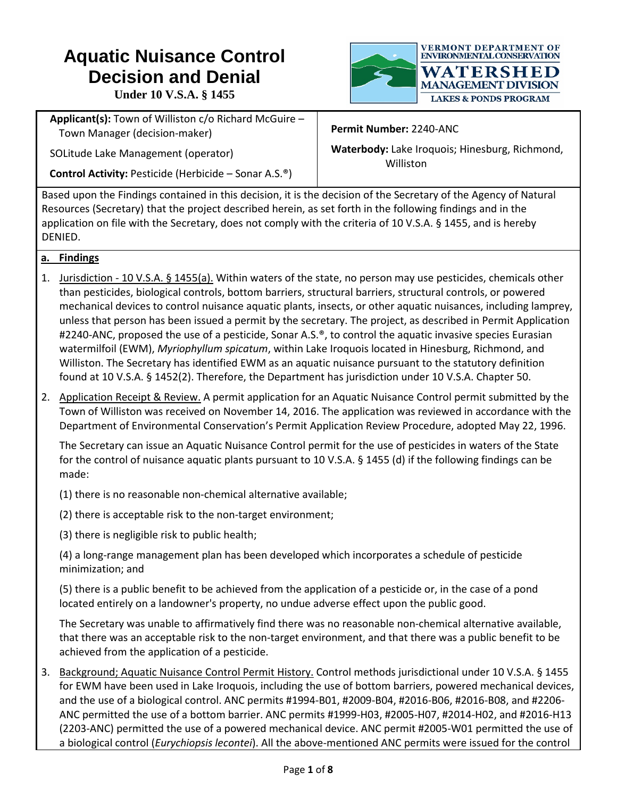## **Aquatic Nuisance Control Decision and Denial**

**VERMONT DEPARTMENT OF** ENVIRONMENTAL CONSERVATION WATERSHED **MANAGEMENT DIVISION** 

**Under 10 V.S.A. § 1455**

**Applicant(s):** Town of Williston c/o Richard McGuire – Town Manager (decision-maker)

SOLitude Lake Management (operator)

**Control Activity:** Pesticide (Herbicide – Sonar A.S.®)

**Permit Number:** 2240-ANC

**Waterbody:** Lake Iroquois; Hinesburg, Richmond, Williston

**LAKES & PONDS PROGRAM** 

Based upon the Findings contained in this decision, it is the decision of the Secretary of the Agency of Natural Resources (Secretary) that the project described herein, as set forth in the following findings and in the application on file with the Secretary, does not comply with the criteria of 10 V.S.A. § 1455, and is hereby DENIED.

## **a. Findings**

- 1. Jurisdiction 10 V.S.A. § 1455(a). Within waters of the state, no person may use pesticides, chemicals other than pesticides, biological controls, bottom barriers, structural barriers, structural controls, or powered mechanical devices to control nuisance aquatic plants, insects, or other aquatic nuisances, including lamprey, unless that person has been issued a permit by the secretary. The project, as described in Permit Application #2240-ANC, proposed the use of a pesticide, Sonar A.S.®, to control the aquatic invasive species Eurasian watermilfoil (EWM), *Myriophyllum spicatum*, within Lake Iroquois located in Hinesburg, Richmond, and Williston. The Secretary has identified EWM as an aquatic nuisance pursuant to the statutory definition found at 10 V.S.A. § 1452(2). Therefore, the Department has jurisdiction under 10 V.S.A. Chapter 50.
- 2. Application Receipt & Review. A permit application for an Aquatic Nuisance Control permit submitted by the Town of Williston was received on November 14, 2016. The application was reviewed in accordance with the Department of Environmental Conservation's Permit Application Review Procedure, adopted May 22, 1996.

The Secretary can issue an Aquatic Nuisance Control permit for the use of pesticides in waters of the State for the control of nuisance aquatic plants pursuant to 10 V.S.A. § 1455 (d) if the following findings can be made:

- (1) there is no reasonable non-chemical alternative available;
- (2) there is acceptable risk to the non-target environment;
- (3) there is negligible risk to public health;

(4) a long-range management plan has been developed which incorporates a schedule of pesticide minimization; and

(5) there is a public benefit to be achieved from the application of a pesticide or, in the case of a pond located entirely on a landowner's property, no undue adverse effect upon the public good.

The Secretary was unable to affirmatively find there was no reasonable non-chemical alternative available, that there was an acceptable risk to the non-target environment, and that there was a public benefit to be achieved from the application of a pesticide.

3. Background; Aquatic Nuisance Control Permit History. Control methods jurisdictional under 10 V.S.A. § 1455 for EWM have been used in Lake Iroquois, including the use of bottom barriers, powered mechanical devices, and the use of a biological control. ANC permits #1994-B01, #2009-B04, #2016-B06, #2016-B08, and #2206- ANC permitted the use of a bottom barrier. ANC permits #1999-H03, #2005-H07, #2014-H02, and #2016-H13 (2203-ANC) permitted the use of a powered mechanical device. ANC permit #2005-W01 permitted the use of a biological control (*Eurychiopsis lecontei*). All the above-mentioned ANC permits were issued for the control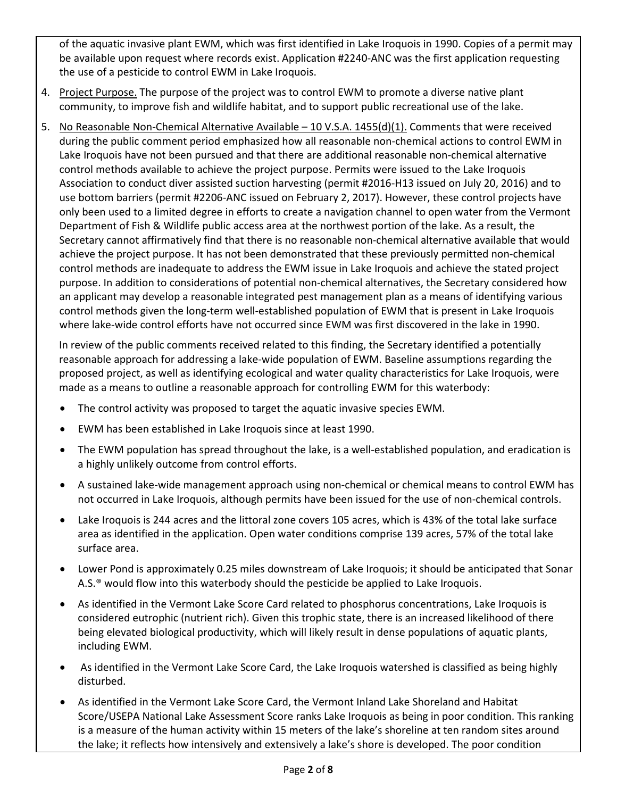of the aquatic invasive plant EWM, which was first identified in Lake Iroquois in 1990. Copies of a permit may be available upon request where records exist. Application #2240-ANC was the first application requesting the use of a pesticide to control EWM in Lake Iroquois.

- 4. Project Purpose. The purpose of the project was to control EWM to promote a diverse native plant community, to improve fish and wildlife habitat, and to support public recreational use of the lake.
- 5. No Reasonable Non-Chemical Alternative Available 10 V.S.A. 1455(d)(1). Comments that were received during the public comment period emphasized how all reasonable non-chemical actions to control EWM in Lake Iroquois have not been pursued and that there are additional reasonable non-chemical alternative control methods available to achieve the project purpose. Permits were issued to the Lake Iroquois Association to conduct diver assisted suction harvesting (permit #2016-H13 issued on July 20, 2016) and to use bottom barriers (permit #2206-ANC issued on February 2, 2017). However, these control projects have only been used to a limited degree in efforts to create a navigation channel to open water from the Vermont Department of Fish & Wildlife public access area at the northwest portion of the lake. As a result, the Secretary cannot affirmatively find that there is no reasonable non-chemical alternative available that would achieve the project purpose. It has not been demonstrated that these previously permitted non-chemical control methods are inadequate to address the EWM issue in Lake Iroquois and achieve the stated project purpose. In addition to considerations of potential non-chemical alternatives, the Secretary considered how an applicant may develop a reasonable integrated pest management plan as a means of identifying various control methods given the long-term well-established population of EWM that is present in Lake Iroquois where lake-wide control efforts have not occurred since EWM was first discovered in the lake in 1990.

In review of the public comments received related to this finding, the Secretary identified a potentially reasonable approach for addressing a lake-wide population of EWM. Baseline assumptions regarding the proposed project, as well as identifying ecological and water quality characteristics for Lake Iroquois, were made as a means to outline a reasonable approach for controlling EWM for this waterbody:

- The control activity was proposed to target the aquatic invasive species EWM.
- EWM has been established in Lake Iroquois since at least 1990.
- The EWM population has spread throughout the lake, is a well-established population, and eradication is a highly unlikely outcome from control efforts.
- A sustained lake-wide management approach using non-chemical or chemical means to control EWM has not occurred in Lake Iroquois, although permits have been issued for the use of non-chemical controls.
- Lake Iroquois is 244 acres and the littoral zone covers 105 acres, which is 43% of the total lake surface area as identified in the application. Open water conditions comprise 139 acres, 57% of the total lake surface area.
- Lower Pond is approximately 0.25 miles downstream of Lake Iroquois; it should be anticipated that Sonar A.S.® would flow into this waterbody should the pesticide be applied to Lake Iroquois.
- As identified in the Vermont Lake Score Card related to phosphorus concentrations, Lake Iroquois is considered eutrophic (nutrient rich). Given this trophic state, there is an increased likelihood of there being elevated biological productivity, which will likely result in dense populations of aquatic plants, including EWM.
- As identified in the Vermont Lake Score Card, the Lake Iroquois watershed is classified as being highly disturbed.
- As identified in the Vermont Lake Score Card, the Vermont Inland Lake Shoreland and Habitat Score/USEPA National Lake Assessment Score ranks Lake Iroquois as being in poor condition. This ranking is a measure of the human activity within 15 meters of the lake's shoreline at ten random sites around the lake; it reflects how intensively and extensively a lake's shore is developed. The poor condition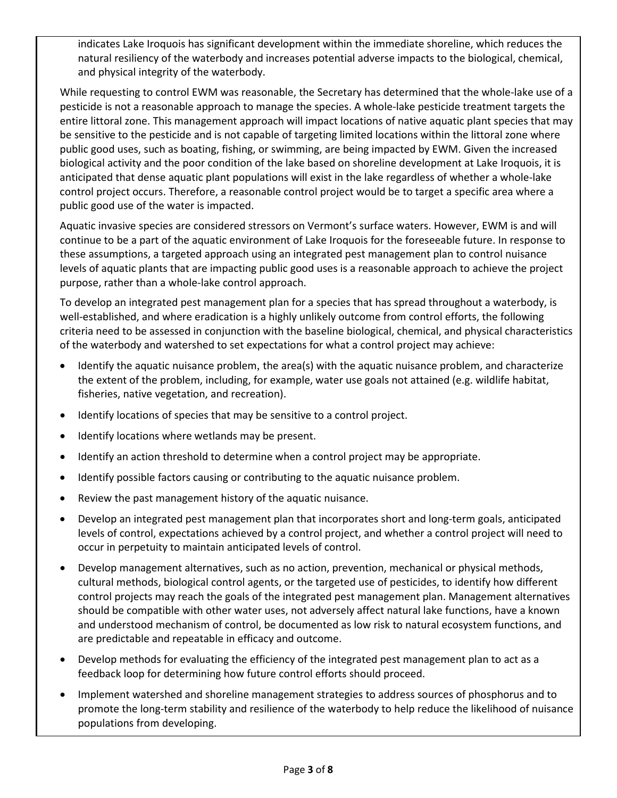indicates Lake Iroquois has significant development within the immediate shoreline, which reduces the natural resiliency of the waterbody and increases potential adverse impacts to the biological, chemical, and physical integrity of the waterbody.

While requesting to control EWM was reasonable, the Secretary has determined that the whole-lake use of a pesticide is not a reasonable approach to manage the species. A whole-lake pesticide treatment targets the entire littoral zone. This management approach will impact locations of native aquatic plant species that may be sensitive to the pesticide and is not capable of targeting limited locations within the littoral zone where public good uses, such as boating, fishing, or swimming, are being impacted by EWM. Given the increased biological activity and the poor condition of the lake based on shoreline development at Lake Iroquois, it is anticipated that dense aquatic plant populations will exist in the lake regardless of whether a whole-lake control project occurs. Therefore, a reasonable control project would be to target a specific area where a public good use of the water is impacted.

Aquatic invasive species are considered stressors on Vermont's surface waters. However, EWM is and will continue to be a part of the aquatic environment of Lake Iroquois for the foreseeable future. In response to these assumptions, a targeted approach using an integrated pest management plan to control nuisance levels of aquatic plants that are impacting public good uses is a reasonable approach to achieve the project purpose, rather than a whole-lake control approach.

To develop an integrated pest management plan for a species that has spread throughout a waterbody, is well-established, and where eradication is a highly unlikely outcome from control efforts, the following criteria need to be assessed in conjunction with the baseline biological, chemical, and physical characteristics of the waterbody and watershed to set expectations for what a control project may achieve:

- Identify the aquatic nuisance problem, the area(s) with the aquatic nuisance problem, and characterize the extent of the problem, including, for example, water use goals not attained (e.g. wildlife habitat, fisheries, native vegetation, and recreation).
- Identify locations of species that may be sensitive to a control project.
- Identify locations where wetlands may be present.
- Identify an action threshold to determine when a control project may be appropriate.
- Identify possible factors causing or contributing to the aquatic nuisance problem.
- Review the past management history of the aquatic nuisance.
- Develop an integrated pest management plan that incorporates short and long-term goals, anticipated levels of control, expectations achieved by a control project, and whether a control project will need to occur in perpetuity to maintain anticipated levels of control.
- Develop management alternatives, such as no action, prevention, mechanical or physical methods, cultural methods, biological control agents, or the targeted use of pesticides, to identify how different control projects may reach the goals of the integrated pest management plan. Management alternatives should be compatible with other water uses, not adversely affect natural lake functions, have a known and understood mechanism of control, be documented as low risk to natural ecosystem functions, and are predictable and repeatable in efficacy and outcome.
- Develop methods for evaluating the efficiency of the integrated pest management plan to act as a feedback loop for determining how future control efforts should proceed.
- Implement watershed and shoreline management strategies to address sources of phosphorus and to promote the long-term stability and resilience of the waterbody to help reduce the likelihood of nuisance populations from developing.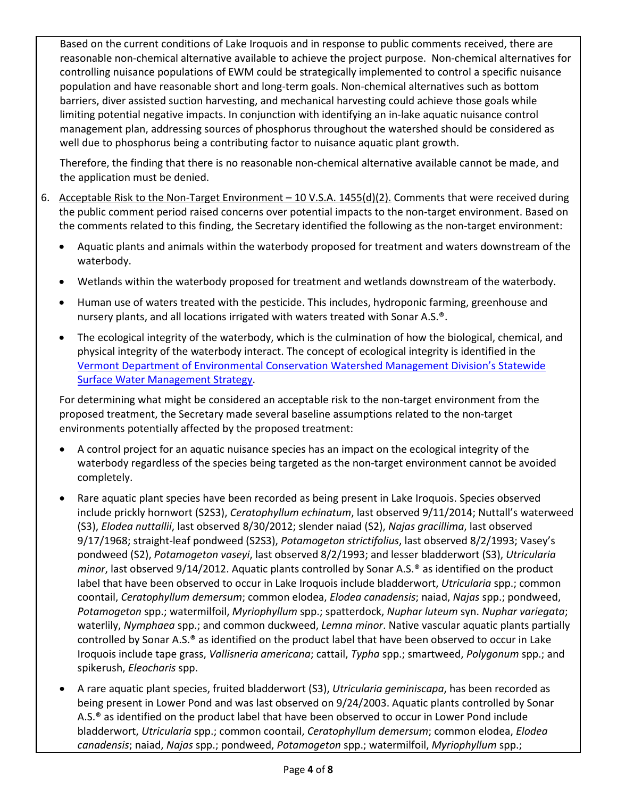Based on the current conditions of Lake Iroquois and in response to public comments received, there are reasonable non-chemical alternative available to achieve the project purpose. Non-chemical alternatives for controlling nuisance populations of EWM could be strategically implemented to control a specific nuisance population and have reasonable short and long-term goals. Non-chemical alternatives such as bottom barriers, diver assisted suction harvesting, and mechanical harvesting could achieve those goals while limiting potential negative impacts. In conjunction with identifying an in-lake aquatic nuisance control management plan, addressing sources of phosphorus throughout the watershed should be considered as well due to phosphorus being a contributing factor to nuisance aquatic plant growth.

Therefore, the finding that there is no reasonable non-chemical alternative available cannot be made, and the application must be denied.

- 6. Acceptable Risk to the Non-Target Environment 10 V.S.A. 1455(d)(2). Comments that were received during the public comment period raised concerns over potential impacts to the non-target environment. Based on the comments related to this finding, the Secretary identified the following as the non-target environment:
	- Aquatic plants and animals within the waterbody proposed for treatment and waters downstream of the waterbody.
	- Wetlands within the waterbody proposed for treatment and wetlands downstream of the waterbody.
	- Human use of waters treated with the pesticide. This includes, hydroponic farming, greenhouse and nursery plants, and all locations irrigated with waters treated with Sonar A.S.®.
	- The ecological integrity of the waterbody, which is the culmination of how the biological, chemical, and physical integrity of the waterbody interact. The concept of ecological integrity is identified in the [Vermont Department of Environmental Conservation Watershed Management Division's Statewide](http://dec.vermont.gov/sites/dec/files/documents/wsmd_swms_Chapter_1_Introduction.pdf)  [Surface Water Management Strategy.](http://dec.vermont.gov/sites/dec/files/documents/wsmd_swms_Chapter_1_Introduction.pdf)

For determining what might be considered an acceptable risk to the non-target environment from the proposed treatment, the Secretary made several baseline assumptions related to the non-target environments potentially affected by the proposed treatment:

- A control project for an aquatic nuisance species has an impact on the ecological integrity of the waterbody regardless of the species being targeted as the non-target environment cannot be avoided completely.
- Rare aquatic plant species have been recorded as being present in Lake Iroquois. Species observed include prickly hornwort (S2S3), *Ceratophyllum echinatum*, last observed 9/11/2014; Nuttall's waterweed (S3), *Elodea nuttallii*, last observed 8/30/2012; slender naiad (S2), *Najas gracillima*, last observed 9/17/1968; straight-leaf pondweed (S2S3), *Potamogeton strictifolius*, last observed 8/2/1993; Vasey's pondweed (S2), *Potamogeton vaseyi*, last observed 8/2/1993; and lesser bladderwort (S3), *Utricularia minor*, last observed 9/14/2012. Aquatic plants controlled by Sonar A.S.<sup>®</sup> as identified on the product label that have been observed to occur in Lake Iroquois include bladderwort, *Utricularia* spp.; common coontail, *Ceratophyllum demersum*; common elodea, *Elodea canadensis*; naiad, *Najas* spp.; pondweed, *Potamogeton* spp.; watermilfoil, *Myriophyllum* spp.; spatterdock, *Nuphar luteum* syn. *Nuphar variegata*; waterlily, *Nymphaea* spp.; and common duckweed, *Lemna minor*. Native vascular aquatic plants partially controlled by Sonar A.S.® as identified on the product label that have been observed to occur in Lake Iroquois include tape grass, *Vallisneria americana*; cattail, *Typha* spp.; smartweed, *Polygonum* spp.; and spikerush, *Eleocharis* spp.
- A rare aquatic plant species, fruited bladderwort (S3), *Utricularia geminiscapa*, has been recorded as being present in Lower Pond and was last observed on 9/24/2003. Aquatic plants controlled by Sonar A.S.® as identified on the product label that have been observed to occur in Lower Pond include bladderwort, *Utricularia* spp.; common coontail, *Ceratophyllum demersum*; common elodea, *Elodea canadensis*; naiad, *Najas* spp.; pondweed, *Potamogeton* spp.; watermilfoil, *Myriophyllum* spp.;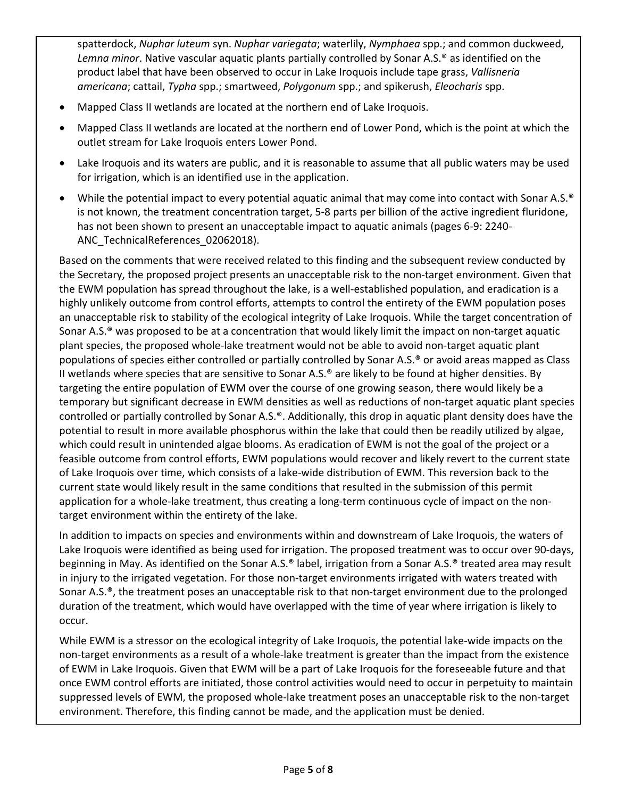spatterdock, *Nuphar luteum* syn. *Nuphar variegata*; waterlily, *Nymphaea* spp.; and common duckweed, *Lemna minor*. Native vascular aquatic plants partially controlled by Sonar A.S.® as identified on the product label that have been observed to occur in Lake Iroquois include tape grass, *Vallisneria americana*; cattail, *Typha* spp.; smartweed, *Polygonum* spp.; and spikerush, *Eleocharis* spp.

- Mapped Class II wetlands are located at the northern end of Lake Iroquois.
- Mapped Class II wetlands are located at the northern end of Lower Pond, which is the point at which the outlet stream for Lake Iroquois enters Lower Pond.
- Lake Iroquois and its waters are public, and it is reasonable to assume that all public waters may be used for irrigation, which is an identified use in the application.
- While the potential impact to every potential aquatic animal that may come into contact with Sonar A.S.® is not known, the treatment concentration target, 5-8 parts per billion of the active ingredient fluridone, has not been shown to present an unacceptable impact to aquatic animals (pages 6-9: 2240- ANC\_TechnicalReferences\_02062018).

Based on the comments that were received related to this finding and the subsequent review conducted by the Secretary, the proposed project presents an unacceptable risk to the non-target environment. Given that the EWM population has spread throughout the lake, is a well-established population, and eradication is a highly unlikely outcome from control efforts, attempts to control the entirety of the EWM population poses an unacceptable risk to stability of the ecological integrity of Lake Iroquois. While the target concentration of Sonar A.S.® was proposed to be at a concentration that would likely limit the impact on non-target aquatic plant species, the proposed whole-lake treatment would not be able to avoid non-target aquatic plant populations of species either controlled or partially controlled by Sonar A.S.® or avoid areas mapped as Class II wetlands where species that are sensitive to Sonar A.S.® are likely to be found at higher densities. By targeting the entire population of EWM over the course of one growing season, there would likely be a temporary but significant decrease in EWM densities as well as reductions of non-target aquatic plant species controlled or partially controlled by Sonar A.S.®. Additionally, this drop in aquatic plant density does have the potential to result in more available phosphorus within the lake that could then be readily utilized by algae, which could result in unintended algae blooms. As eradication of EWM is not the goal of the project or a feasible outcome from control efforts, EWM populations would recover and likely revert to the current state of Lake Iroquois over time, which consists of a lake-wide distribution of EWM. This reversion back to the current state would likely result in the same conditions that resulted in the submission of this permit application for a whole-lake treatment, thus creating a long-term continuous cycle of impact on the nontarget environment within the entirety of the lake.

In addition to impacts on species and environments within and downstream of Lake Iroquois, the waters of Lake Iroquois were identified as being used for irrigation. The proposed treatment was to occur over 90-days, beginning in May. As identified on the Sonar A.S.® label, irrigation from a Sonar A.S.® treated area may result in injury to the irrigated vegetation. For those non-target environments irrigated with waters treated with Sonar A.S.®, the treatment poses an unacceptable risk to that non-target environment due to the prolonged duration of the treatment, which would have overlapped with the time of year where irrigation is likely to occur.

While EWM is a stressor on the ecological integrity of Lake Iroquois, the potential lake-wide impacts on the non-target environments as a result of a whole-lake treatment is greater than the impact from the existence of EWM in Lake Iroquois. Given that EWM will be a part of Lake Iroquois for the foreseeable future and that once EWM control efforts are initiated, those control activities would need to occur in perpetuity to maintain suppressed levels of EWM, the proposed whole-lake treatment poses an unacceptable risk to the non-target environment. Therefore, this finding cannot be made, and the application must be denied.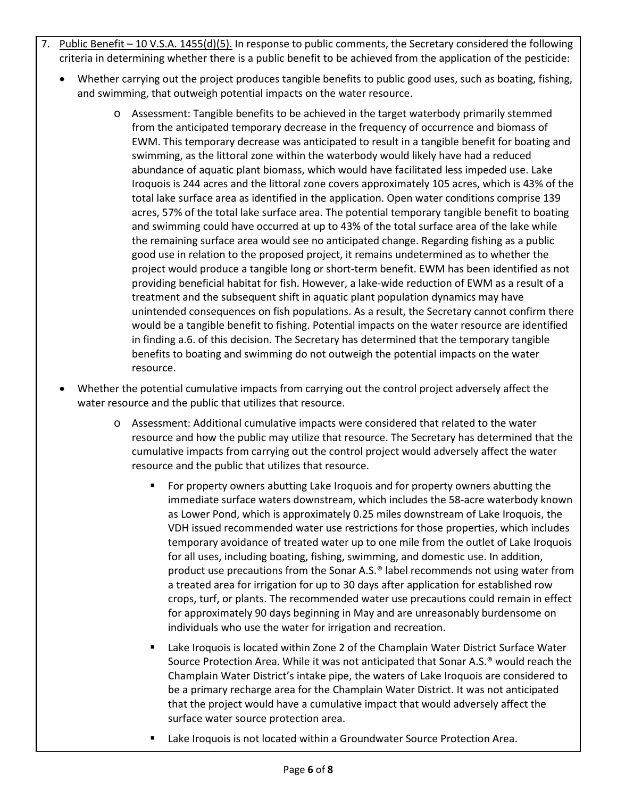- 7. Public Benefit 10 V.S.A. 1455(d)(5). In response to public comments, the Secretary considered the following criteria in determining whether there is a public benefit to be achieved from the application of the pesticide:
	- Whether carrying out the project produces tangible benefits to public good uses, such as boating, fishing, and swimming, that outweigh potential impacts on the water resource.
		- o Assessment: Tangible benefits to be achieved in the target waterbody primarily stemmed from the anticipated temporary decrease in the frequency of occurrence and biomass of EWM. This temporary decrease was anticipated to result in a tangible benefit for boating and swimming, as the littoral zone within the waterbody would likely have had a reduced abundance of aquatic plant biomass, which would have facilitated less impeded use. Lake Iroquois is 244 acres and the littoral zone covers approximately 105 acres, which is 43% of the total lake surface area as identified in the application. Open water conditions comprise 139 acres, 57% of the total lake surface area. The potential temporary tangible benefit to boating and swimming could have occurred at up to 43% of the total surface area of the lake while the remaining surface area would see no anticipated change. Regarding fishing as a public good use in relation to the proposed project, it remains undetermined as to whether the project would produce a tangible long or short-term benefit. EWM has been identified as not providing beneficial habitat for fish. However, a lake-wide reduction of EWM as a result of a treatment and the subsequent shift in aquatic plant population dynamics may have unintended consequences on fish populations. As a result, the Secretary cannot confirm there would be a tangible benefit to fishing. Potential impacts on the water resource are identified in finding a.6. of this decision. The Secretary has determined that the temporary tangible benefits to boating and swimming do not outweigh the potential impacts on the water resource.
	- Whether the potential cumulative impacts from carrying out the control project adversely affect the water resource and the public that utilizes that resource.
		- o Assessment: Additional cumulative impacts were considered that related to the water resource and how the public may utilize that resource. The Secretary has determined that the cumulative impacts from carrying out the control project would adversely affect the water resource and the public that utilizes that resource.
			- For property owners abutting Lake Iroquois and for property owners abutting the immediate surface waters downstream, which includes the 58-acre waterbody known as Lower Pond, which is approximately 0.25 miles downstream of Lake Iroquois, the VDH issued recommended water use restrictions for those properties, which includes temporary avoidance of treated water up to one mile from the outlet of Lake Iroquois for all uses, including boating, fishing, swimming, and domestic use. In addition, product use precautions from the Sonar A.S.® label recommends not using water from a treated area for irrigation for up to 30 days after application for established row crops, turf, or plants. The recommended water use precautions could remain in effect for approximately 90 days beginning in May and are unreasonably burdensome on individuals who use the water for irrigation and recreation.
			- Lake Iroquois is located within Zone 2 of the Champlain Water District Surface Water Source Protection Area. While it was not anticipated that Sonar A.S.® would reach the Champlain Water District's intake pipe, the waters of Lake Iroquois are considered to be a primary recharge area for the Champlain Water District. It was not anticipated that the project would have a cumulative impact that would adversely affect the surface water source protection area.
			- Lake Iroquois is not located within a Groundwater Source Protection Area.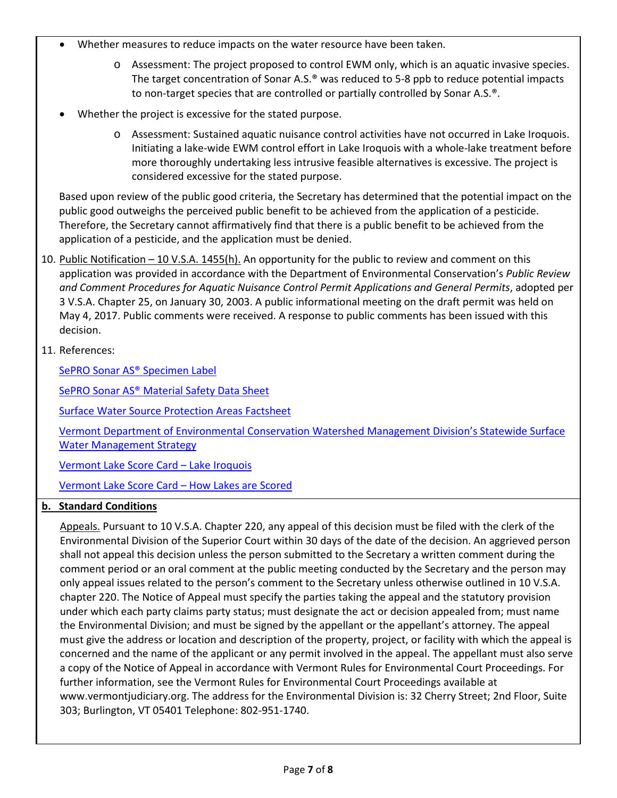- Whether measures to reduce impacts on the water resource have been taken.
	- o Assessment: The project proposed to control EWM only, which is an aquatic invasive species. The target concentration of Sonar A.S.® was reduced to 5-8 ppb to reduce potential impacts to non-target species that are controlled or partially controlled by Sonar A.S.®.
- Whether the project is excessive for the stated purpose.
	- o Assessment: Sustained aquatic nuisance control activities have not occurred in Lake Iroquois. Initiating a lake-wide EWM control effort in Lake Iroquois with a whole-lake treatment before more thoroughly undertaking less intrusive feasible alternatives is excessive. The project is considered excessive for the stated purpose.

Based upon review of the public good criteria, the Secretary has determined that the potential impact on the public good outweighs the perceived public benefit to be achieved from the application of a pesticide. Therefore, the Secretary cannot affirmatively find that there is a public benefit to be achieved from the application of a pesticide, and the application must be denied.

- 10. Public Notification 10 V.S.A. 1455(h). An opportunity for the public to review and comment on this application was provided in accordance with the Department of Environmental Conservation's *Public Review and Comment Procedures for Aquatic Nuisance Control Permit Applications and General Permits*, adopted per 3 V.S.A. Chapter 25, on January 30, 2003. A public informational meeting on the draft permit was held on May 4, 2017. Public comments were received. A response to public comments has been issued with this decision.
- 11. References:

[SePRO Sonar AS® Specimen Label](http://www.sepro.com/documents/sonaras_label.pdf)

[SePRO Sonar AS® Material Safety Data Sheet](http://www.sepro.com/documents/SonarAS_MSDS.pdf)

[Surface Water Source Protection Areas](http://dec.vermont.gov/sites/dec/files/dwgwp/sourceprot/pdf/swspafactsheet.pdf) Factsheet

[Vermont Department of Environmental Conservation Watershed Management Division's](http://dec.vermont.gov/sites/dec/files/documents/wsmd_swms_Chapter_1_Introduction.pdf) Statewide Surface [Water Management Strategy](http://dec.vermont.gov/sites/dec/files/documents/wsmd_swms_Chapter_1_Introduction.pdf)

[Vermont Lake Score Card –](https://anrweb.vt.gov/DEC/IWIS/ReportViewer3.aspx?Report=LakeScoreCard_Current_TrendsAndStatus&ViewParms=False&LakeID=IROQUOIS) Lake Iroquois

[Vermont Lake Score Card –](http://anrmaps.vermont.gov/websites/kml/wq_scorecard/lp_lsc_how_lakes_are_scored.pdf) How Lakes are Scored

## **b. Standard Conditions**

Appeals. Pursuant to 10 V.S.A. Chapter 220, any appeal of this decision must be filed with the clerk of the Environmental Division of the Superior Court within 30 days of the date of the decision. An aggrieved person shall not appeal this decision unless the person submitted to the Secretary a written comment during the comment period or an oral comment at the public meeting conducted by the Secretary and the person may only appeal issues related to the person's comment to the Secretary unless otherwise outlined in 10 V.S.A. chapter 220. The Notice of Appeal must specify the parties taking the appeal and the statutory provision under which each party claims party status; must designate the act or decision appealed from; must name the Environmental Division; and must be signed by the appellant or the appellant's attorney. The appeal must give the address or location and description of the property, project, or facility with which the appeal is concerned and the name of the applicant or any permit involved in the appeal. The appellant must also serve a copy of the Notice of Appeal in accordance with Vermont Rules for Environmental Court Proceedings. For further information, see the Vermont Rules for Environmental Court Proceedings available at www.vermontjudiciary.org. The address for the Environmental Division is: 32 Cherry Street; 2nd Floor, Suite 303; Burlington, VT 05401 Telephone: 802-951-1740.